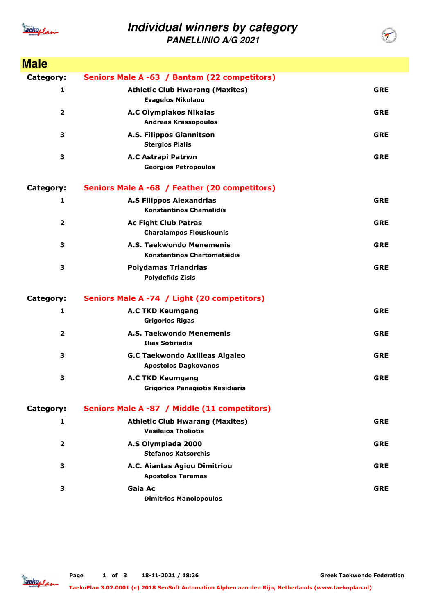

## **Individual winners by category**

| aekoplan                | <i><b>INDIVIQUAL WINDERS Dy Category</b></i><br><b>PANELLINIO A/G 2021</b> |            |
|-------------------------|----------------------------------------------------------------------------|------------|
| <b>Male</b>             |                                                                            |            |
| Category:               | Seniors Male A -63 / Bantam (22 competitors)                               |            |
| 1                       | <b>Athletic Club Hwarang (Maxites)</b><br><b>Evagelos Nikolaou</b>         | <b>GRE</b> |
| 2                       | <b>A.C Olympiakos Nikaias</b><br><b>Andreas Krassopoulos</b>               | <b>GRE</b> |
| 3                       | A.S. Filippos Giannitson<br><b>Stergios Plalis</b>                         | <b>GRE</b> |
| З                       | A.C Astrapi Patrwn<br><b>Georgios Petropoulos</b>                          | <b>GRE</b> |
| Category:               | Seniors Male A -68 / Feather (20 competitors)                              |            |
| 1                       | <b>A.S Filippos Alexandrias</b><br><b>Konstantinos Chamalidis</b>          | <b>GRE</b> |
| $\overline{\mathbf{2}}$ | <b>Ac Fight Club Patras</b><br><b>Charalampos Flouskounis</b>              | <b>GRE</b> |
| 3                       | A.S. Taekwondo Menemenis<br><b>Konstantinos Chartomatsidis</b>             | <b>GRE</b> |
| 3                       | <b>Polydamas Triandrias</b><br><b>Polydefkis Zisis</b>                     | <b>GRE</b> |
| Category:               | Seniors Male A -74 / Light (20 competitors)                                |            |
| 1                       | <b>A.C TKD Keumgang</b><br><b>Grigorios Rigas</b>                          | <b>GRE</b> |
| $\overline{\mathbf{2}}$ | A.S. Taekwondo Menemenis<br><b>Ilias Sotiriadis</b>                        | <b>GRE</b> |
| 3                       | <b>G.C Taekwondo Axilleas Aigaleo</b><br><b>Apostolos Dagkovanos</b>       | <b>GRE</b> |
| 3                       | <b>A.C TKD Keumgang</b><br><b>Grigorios Panagiotis Kasidiaris</b>          | <b>GRE</b> |
| Category:               | Seniors Male A -87 / Middle (11 competitors)                               |            |
| 1                       | <b>Athletic Club Hwarang (Maxites)</b><br><b>Vasileios Tholiotis</b>       | <b>GRE</b> |
| $\overline{\mathbf{2}}$ | A.S Olympiada 2000<br><b>Stefanos Katsorchis</b>                           | <b>GRE</b> |
| 3                       | A.C. Aiantas Agiou Dimitriou<br><b>Apostolos Taramas</b>                   | <b>GRE</b> |
| З                       | Gaia Ac<br><b>Dimitrios Manolopoulos</b>                                   | <b>GRE</b> |



**Greek Taekwondo Federation**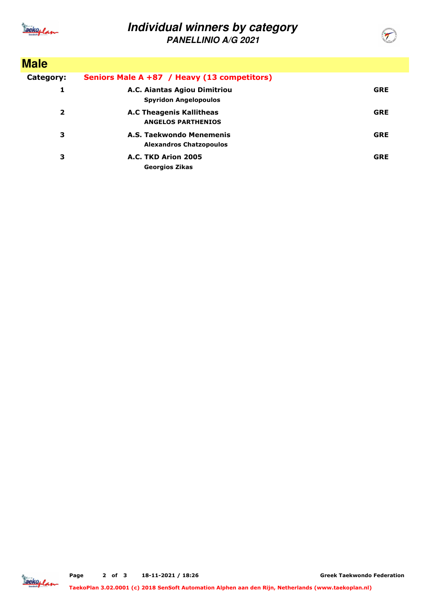

## **Individual winners by category**

| <u>aekoplan</u> | <i><b>INDIVIQUAL WINNERS DY CALCYCLY</b></i><br><b>PANELLINIO A/G 2021</b> |            |
|-----------------|----------------------------------------------------------------------------|------------|
| <b>Male</b>     |                                                                            |            |
| Category:       | Seniors Male A +87 / Heavy (13 competitors)                                |            |
| 1               | A.C. Aiantas Agiou Dimitriou<br><b>Spyridon Angelopoulos</b>               | <b>GRE</b> |
| $\mathbf{z}$    | <b>A.C Theagenis Kallitheas</b><br><b>ANGELOS PARTHENIOS</b>               | <b>GRE</b> |
| 3               | A.S. Taekwondo Menemenis<br><b>Alexandros Chatzopoulos</b>                 | <b>GRE</b> |
| З               | A.C. TKD Arion 2005<br><b>Georgios Zikas</b>                               | <b>GRE</b> |